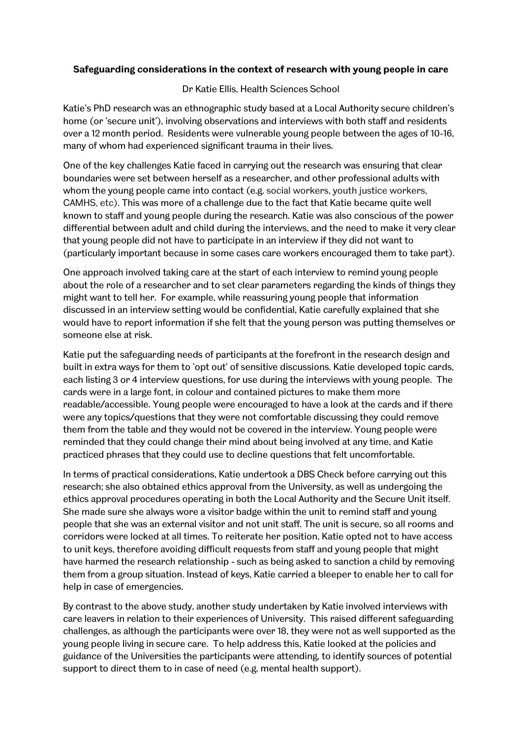#### **Safeguarding considerations in the context of research with young people in care**

#### Dr Katie Ellis, Health Sciences School

Katie's PhD research was an ethnographic study based at a Local Authority secure children's home (or 'secure unit'), involving observations and interviews with both staff and residents over a 12 month period. Residents were vulnerable young people between the ages of 10-16, many of whom had experienced significant trauma in their lives.

One of the key challenges Katie faced in carrying out the research was ensuring that clear boundaries were set between herself as a researcher, and other professional adults with whom the young people came into contact (e.g. social workers, youth justice workers, CAMHS, etc). This was more of a challenge due to the fact that Katie became quite well known to staff and young people during the research. Katie was also conscious of the power differential between adult and child during the interviews, and the need to make it very clear that young people did not have to participate in an interview if they did not want to (particularly important because in some cases care workers encouraged them to take part).

One approach involved taking care at the start of each interview to remind young people about the role of a researcher and to set clear parameters regarding the kinds of things they might want to tell her. For example, while reassuring young people that information discussed in an interview setting would be confidential, Katie carefully explained that she would have to report information if she felt that the young person was putting themselves or someone else at risk.

Katie put the safeguarding needs of participants at the forefront in the research design and built in extra ways for them to 'opt out' of sensitive discussions. Katie developed topic cards, each listing 3 or 4 interview questions, for use during the interviews with young people. The cards were in a large font, in colour and contained pictures to make them more readable/accessible. Young people were encouraged to have a look at the cards and if there were any topics/questions that they were not comfortable discussing they could remove them from the table and they would not be covered in the interview. Young people were reminded that they could change their mind about being involved at any time, and Katie practiced phrases that they could use to decline questions that felt uncomfortable.

In terms of practical considerations, Katie undertook a DBS Check before carrying out this research; she also obtained ethics approval from the University, as well as undergoing the ethics approval procedures operating in both the Local Authority and the Secure Unit itself. She made sure she always wore a visitor badge within the unit to remind staff and young people that she was an external visitor and not unit staff. The unit is secure, so all rooms and corridors were locked at all times. To reiterate her position, Katie opted not to have access to unit keys, therefore avoiding difficult requests from staff and young people that might have harmed the research relationship - such as being asked to sanction a child by removing them from a group situation. Instead of keys, Katie carried a bleeper to enable her to call for help in case of emergencies.

By contrast to the above study, another study undertaken by Katie involved interviews with care leavers in relation to their experiences of University. This raised different safeguarding challenges, as although the participants were over 18, they were not as well supported as the young people living in secure care. To help address this, Katie looked at the policies and guidance of the Universities the participants were attending, to identify sources of potential support to direct them to in case of need (e.g. mental health support).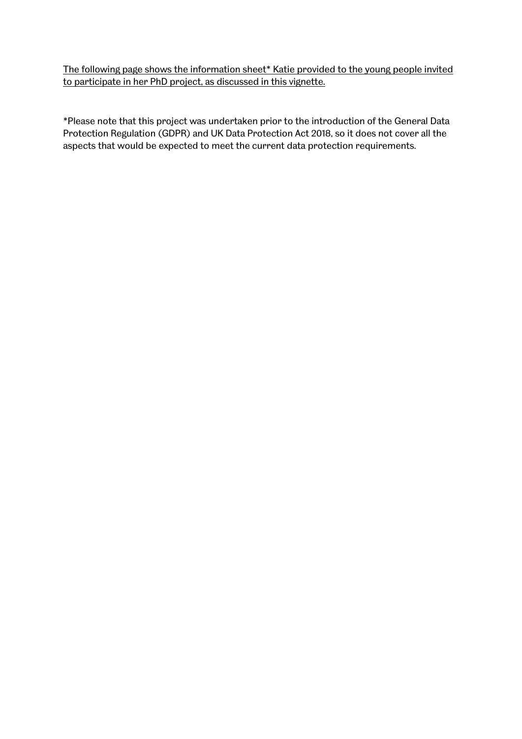The following page shows the information sheet\* Katie provided to the young people invited to participate in her PhD project, as discussed in this vignette.

\*Please note that this project was undertaken prior to the introduction of the General Data Protection Regulation (GDPR) and UK Data Protection Act 2018, so it does not cover all the aspects that would be expected to meet the current data protection requirements.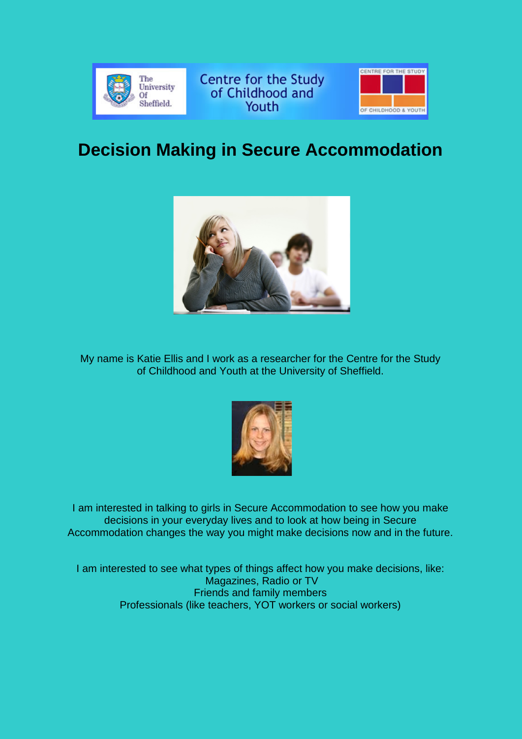

Centre for the Study<br>of Childhood and Youth



# **Decision Making in Secure Accommodation**



My name is Katie Ellis and I work as a researcher for the Centre for the Study of Childhood and Youth at the University of Sheffield.



I am interested in talking to girls in Secure Accommodation to see how you make decisions in your everyday lives and to look at how being in Secure Accommodation changes the way you might make decisions now and in the future.

I am interested to see what types of things affect how you make decisions, like: Magazines, Radio or TV Friends and family members Professionals (like teachers, YOT workers or social workers)